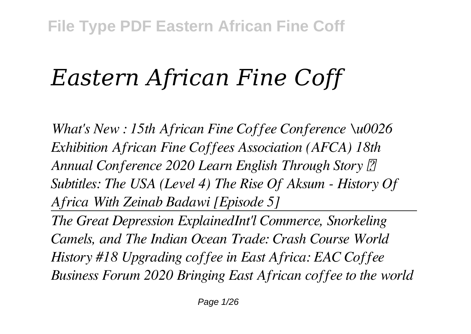# *Eastern African Fine Coff*

*What's New : 15th African Fine Coffee Conference \u0026 Exhibition African Fine Coffees Association (AFCA) 18th Annual Conference 2020 Learn English Through Story* <sup>7</sup> *Subtitles: The USA (Level 4) The Rise Of Aksum - History Of Africa With Zeinab Badawi [Episode 5]*

*The Great Depression ExplainedInt'l Commerce, Snorkeling Camels, and The Indian Ocean Trade: Crash Course World History #18 Upgrading coffee in East Africa: EAC Coffee Business Forum 2020 Bringing East African coffee to the world*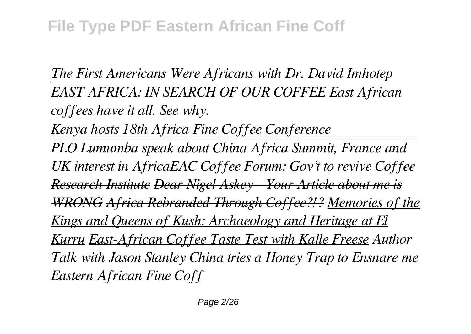*The First Americans Were Africans with Dr. David Imhotep EAST AFRICA: IN SEARCH OF OUR COFFEE East African coffees have it all. See why.* 

*Kenya hosts 18th Africa Fine Coffee Conference*

*PLO Lumumba speak about China Africa Summit, France and UK interest in AfricaEAC Coffee Forum: Gov't to revive Coffee Research Institute Dear Nigel Askey - Your Article about me is WRONG Africa Rebranded Through Coffee?!? Memories of the Kings and Queens of Kush: Archaeology and Heritage at El Kurru East-African Coffee Taste Test with Kalle Freese Author Talk with Jason Stanley China tries a Honey Trap to Ensnare me Eastern African Fine Coff*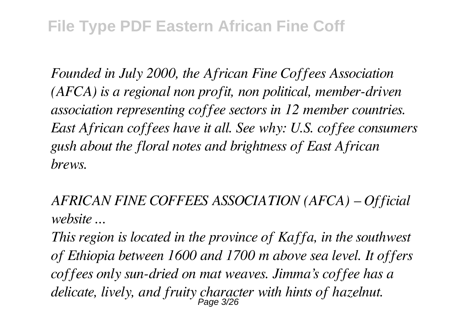*Founded in July 2000, the African Fine Coffees Association (AFCA) is a regional non profit, non political, member-driven association representing coffee sectors in 12 member countries. East African coffees have it all. See why: U.S. coffee consumers gush about the floral notes and brightness of East African brews.*

*AFRICAN FINE COFFEES ASSOCIATION (AFCA) – Official website ...*

*This region is located in the province of Kaffa, in the southwest of Ethiopia between 1600 and 1700 m above sea level. It offers coffees only sun-dried on mat weaves. Jimma's coffee has a delicate, lively, and fruity character with hints of hazelnut.* Page 3/26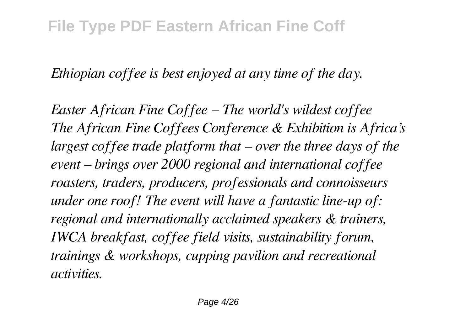*Ethiopian coffee is best enjoyed at any time of the day.*

*Easter African Fine Coffee – The world's wildest coffee The African Fine Coffees Conference & Exhibition is Africa's largest coffee trade platform that – over the three days of the event – brings over 2000 regional and international coffee roasters, traders, producers, professionals and connoisseurs under one roof! The event will have a fantastic line-up of: regional and internationally acclaimed speakers & trainers, IWCA breakfast, coffee field visits, sustainability forum, trainings & workshops, cupping pavilion and recreational activities.*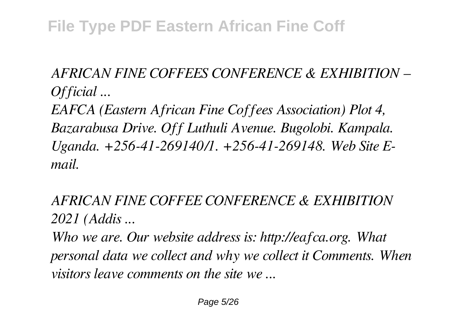*AFRICAN FINE COFFEES CONFERENCE & EXHIBITION – Official ...*

*EAFCA (Eastern African Fine Coffees Association) Plot 4, Bazarabusa Drive. Off Luthuli Avenue. Bugolobi. Kampala. Uganda. +256-41-269140/1. +256-41-269148. Web Site Email.*

*AFRICAN FINE COFFEE CONFERENCE & EXHIBITION 2021 (Addis ...*

*Who we are. Our website address is: http://eafca.org. What personal data we collect and why we collect it Comments. When visitors leave comments on the site we ...*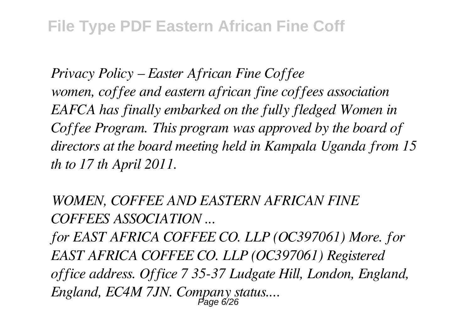*Privacy Policy – Easter African Fine Coffee women, coffee and eastern african fine coffees association EAFCA has finally embarked on the fully fledged Women in Coffee Program. This program was approved by the board of directors at the board meeting held in Kampala Uganda from 15 th to 17 th April 2011.*

*WOMEN, COFFEE AND EASTERN AFRICAN FINE COFFEES ASSOCIATION ...*

*for EAST AFRICA COFFEE CO. LLP (OC397061) More. for EAST AFRICA COFFEE CO. LLP (OC397061) Registered office address. Office 7 35-37 Ludgate Hill, London, England, England, EC4M 7JN. Company status....* Page 6/26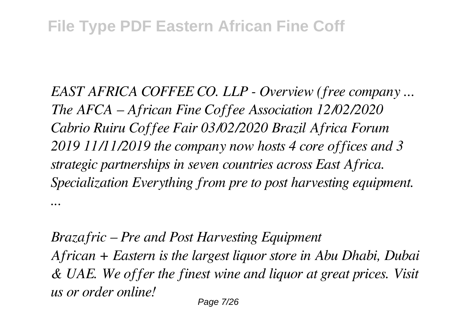*EAST AFRICA COFFEE CO. LLP - Overview (free company ... The AFCA – African Fine Coffee Association 12/02/2020 Cabrio Ruiru Coffee Fair 03/02/2020 Brazil Africa Forum 2019 11/11/2019 the company now hosts 4 core offices and 3 strategic partnerships in seven countries across East Africa. Specialization Everything from pre to post harvesting equipment. ...*

*Brazafric – Pre and Post Harvesting Equipment African + Eastern is the largest liquor store in Abu Dhabi, Dubai & UAE. We offer the finest wine and liquor at great prices. Visit us or order online!*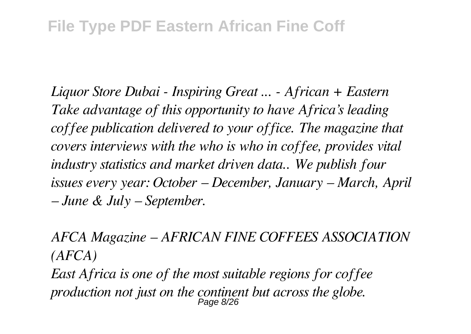*Liquor Store Dubai - Inspiring Great ... - African + Eastern Take advantage of this opportunity to have Africa's leading coffee publication delivered to your office. The magazine that covers interviews with the who is who in coffee, provides vital industry statistics and market driven data.. We publish four issues every year: October – December, January – March, April – June & July – September.*

*AFCA Magazine – AFRICAN FINE COFFEES ASSOCIATION (AFCA)*

*East Africa is one of the most suitable regions for coffee production not just on the continent but across the globe.* Page 8/26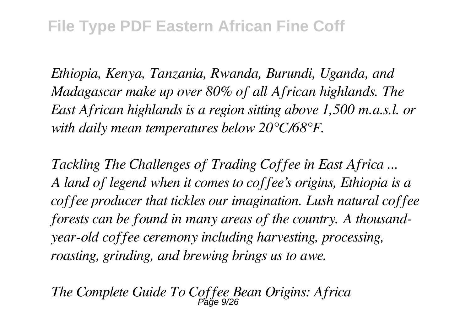*Ethiopia, Kenya, Tanzania, Rwanda, Burundi, Uganda, and Madagascar make up over 80% of all African highlands. The East African highlands is a region sitting above 1,500 m.a.s.l. or with daily mean temperatures below 20°C/68°F.*

*Tackling The Challenges of Trading Coffee in East Africa ... A land of legend when it comes to coffee's origins, Ethiopia is a coffee producer that tickles our imagination. Lush natural coffee forests can be found in many areas of the country. A thousandyear-old coffee ceremony including harvesting, processing, roasting, grinding, and brewing brings us to awe.*

*The Complete Guide To Coffee Bean Origins: Africa* Page 9/26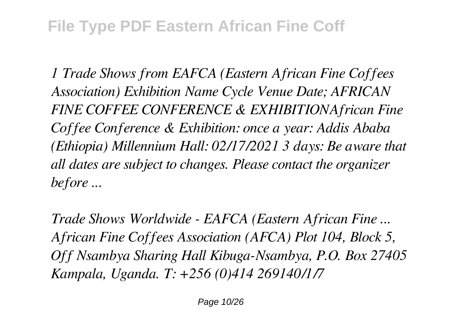*1 Trade Shows from EAFCA (Eastern African Fine Coffees Association) Exhibition Name Cycle Venue Date; AFRICAN FINE COFFEE CONFERENCE & EXHIBITIONAfrican Fine Coffee Conference & Exhibition: once a year: Addis Ababa (Ethiopia) Millennium Hall: 02/17/2021 3 days: Be aware that all dates are subject to changes. Please contact the organizer before ...*

*Trade Shows Worldwide - EAFCA (Eastern African Fine ... African Fine Coffees Association (AFCA) Plot 104, Block 5, Off Nsambya Sharing Hall Kibuga-Nsambya, P.O. Box 27405 Kampala, Uganda. T: +256 (0)414 269140/1/7*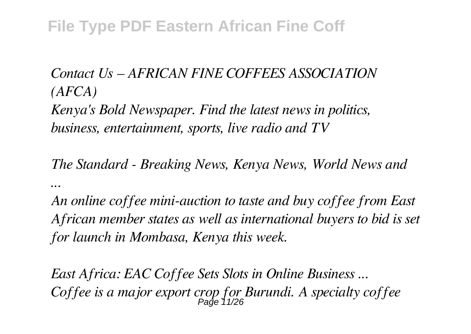#### *Contact Us – AFRICAN FINE COFFEES ASSOCIATION (AFCA)*

*Kenya's Bold Newspaper. Find the latest news in politics, business, entertainment, sports, live radio and TV*

*The Standard - Breaking News, Kenya News, World News and ...*

*An online coffee mini-auction to taste and buy coffee from East African member states as well as international buyers to bid is set for launch in Mombasa, Kenya this week.*

*East Africa: EAC Coffee Sets Slots in Online Business ... Coffee is a major export crop for Burundi. A specialty coffee* Page 11/26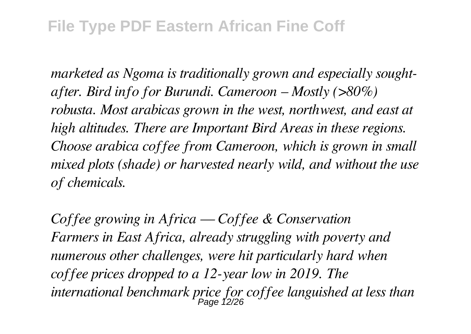*marketed as Ngoma is traditionally grown and especially soughtafter. Bird info for Burundi. Cameroon – Mostly (>80%) robusta. Most arabicas grown in the west, northwest, and east at high altitudes. There are Important Bird Areas in these regions. Choose arabica coffee from Cameroon, which is grown in small mixed plots (shade) or harvested nearly wild, and without the use of chemicals.*

*Coffee growing in Africa — Coffee & Conservation Farmers in East Africa, already struggling with poverty and numerous other challenges, were hit particularly hard when coffee prices dropped to a 12-year low in 2019. The international benchmark price for coffee languished at less than* Page 12/26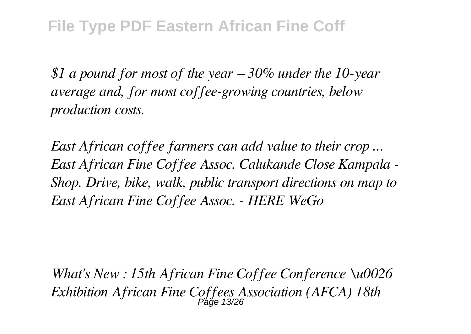*\$1 a pound for most of the year – 30% under the 10-year average and, for most coffee-growing countries, below production costs.*

*East African coffee farmers can add value to their crop ... East African Fine Coffee Assoc. Calukande Close Kampala - Shop. Drive, bike, walk, public transport directions on map to East African Fine Coffee Assoc. - HERE WeGo*

*What's New : 15th African Fine Coffee Conference \u0026 Exhibition African Fine Coffees Association (AFCA) 18th* Page 13/26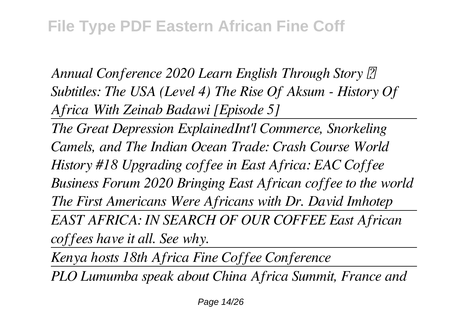*Annual Conference 2020 Learn English Through Story [2] Subtitles: The USA (Level 4) The Rise Of Aksum - History Of Africa With Zeinab Badawi [Episode 5]*

*The Great Depression ExplainedInt'l Commerce, Snorkeling Camels, and The Indian Ocean Trade: Crash Course World History #18 Upgrading coffee in East Africa: EAC Coffee Business Forum 2020 Bringing East African coffee to the world The First Americans Were Africans with Dr. David Imhotep EAST AFRICA: IN SEARCH OF OUR COFFEE East African coffees have it all. See why.* 

*Kenya hosts 18th Africa Fine Coffee Conference*

*PLO Lumumba speak about China Africa Summit, France and*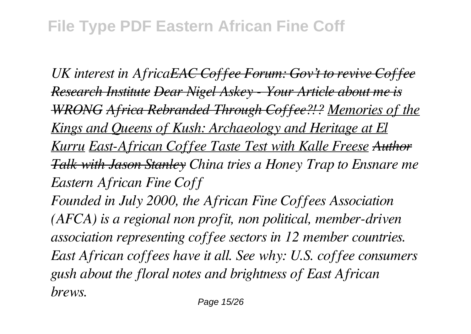*UK interest in AfricaEAC Coffee Forum: Gov't to revive Coffee Research Institute Dear Nigel Askey - Your Article about me is WRONG Africa Rebranded Through Coffee?!? Memories of the Kings and Queens of Kush: Archaeology and Heritage at El Kurru East-African Coffee Taste Test with Kalle Freese Author Talk with Jason Stanley China tries a Honey Trap to Ensnare me Eastern African Fine Coff Founded in July 2000, the African Fine Coffees Association (AFCA) is a regional non profit, non political, member-driven*

*association representing coffee sectors in 12 member countries. East African coffees have it all. See why: U.S. coffee consumers gush about the floral notes and brightness of East African brews.*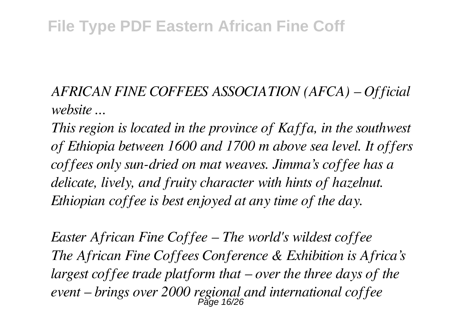*AFRICAN FINE COFFEES ASSOCIATION (AFCA) – Official website ...*

*This region is located in the province of Kaffa, in the southwest of Ethiopia between 1600 and 1700 m above sea level. It offers coffees only sun-dried on mat weaves. Jimma's coffee has a delicate, lively, and fruity character with hints of hazelnut. Ethiopian coffee is best enjoyed at any time of the day.*

*Easter African Fine Coffee – The world's wildest coffee The African Fine Coffees Conference & Exhibition is Africa's largest coffee trade platform that – over the three days of the event – brings over 2000 regional and international coffee* Page 16/26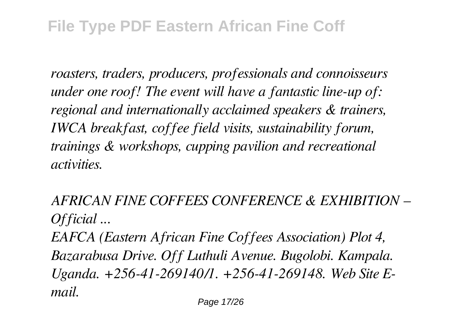*roasters, traders, producers, professionals and connoisseurs under one roof! The event will have a fantastic line-up of: regional and internationally acclaimed speakers & trainers, IWCA breakfast, coffee field visits, sustainability forum, trainings & workshops, cupping pavilion and recreational activities.*

*AFRICAN FINE COFFEES CONFERENCE & EXHIBITION – Official ...*

*EAFCA (Eastern African Fine Coffees Association) Plot 4, Bazarabusa Drive. Off Luthuli Avenue. Bugolobi. Kampala. Uganda. +256-41-269140/1. +256-41-269148. Web Site Email.*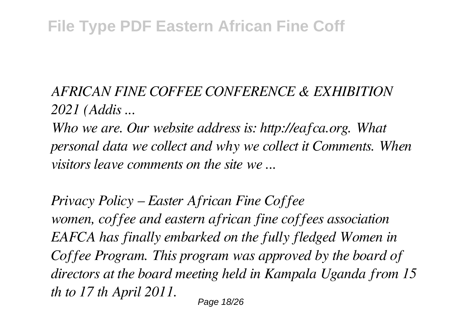#### *AFRICAN FINE COFFEE CONFERENCE & EXHIBITION 2021 (Addis ...*

*Who we are. Our website address is: http://eafca.org. What personal data we collect and why we collect it Comments. When visitors leave comments on the site we ...*

*Privacy Policy – Easter African Fine Coffee women, coffee and eastern african fine coffees association EAFCA has finally embarked on the fully fledged Women in Coffee Program. This program was approved by the board of directors at the board meeting held in Kampala Uganda from 15 th to 17 th April 2011.* Page 18/26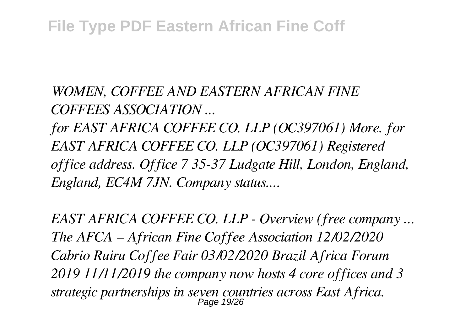*WOMEN, COFFEE AND EASTERN AFRICAN FINE COFFEES ASSOCIATION ...*

*for EAST AFRICA COFFEE CO. LLP (OC397061) More. for EAST AFRICA COFFEE CO. LLP (OC397061) Registered office address. Office 7 35-37 Ludgate Hill, London, England, England, EC4M 7JN. Company status....*

*EAST AFRICA COFFEE CO. LLP - Overview (free company ... The AFCA – African Fine Coffee Association 12/02/2020 Cabrio Ruiru Coffee Fair 03/02/2020 Brazil Africa Forum 2019 11/11/2019 the company now hosts 4 core offices and 3 strategic partnerships in seven countries across East Africa.* Page 19/26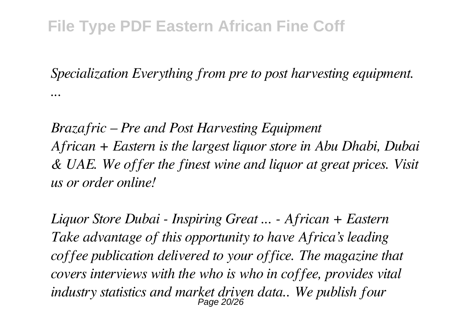*Specialization Everything from pre to post harvesting equipment. ...*

*Brazafric – Pre and Post Harvesting Equipment African + Eastern is the largest liquor store in Abu Dhabi, Dubai & UAE. We offer the finest wine and liquor at great prices. Visit us or order online!*

*Liquor Store Dubai - Inspiring Great ... - African + Eastern Take advantage of this opportunity to have Africa's leading coffee publication delivered to your office. The magazine that covers interviews with the who is who in coffee, provides vital industry statistics and market driven data.. We publish four* Page 20/26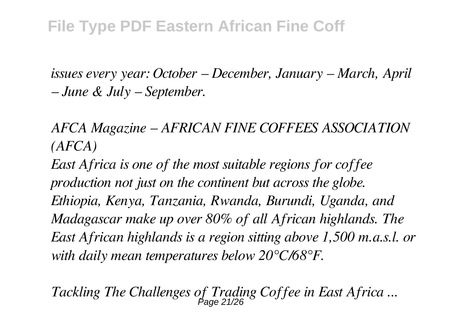*issues every year: October – December, January – March, April – June & July – September.*

*AFCA Magazine – AFRICAN FINE COFFEES ASSOCIATION (AFCA)*

*East Africa is one of the most suitable regions for coffee production not just on the continent but across the globe. Ethiopia, Kenya, Tanzania, Rwanda, Burundi, Uganda, and Madagascar make up over 80% of all African highlands. The East African highlands is a region sitting above 1,500 m.a.s.l. or with daily mean temperatures below 20°C/68°F.*

*Tackling The Challenges of Trading Coffee in East Africa ...* Page 21/26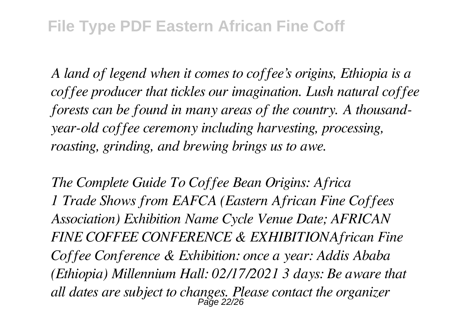*A land of legend when it comes to coffee's origins, Ethiopia is a coffee producer that tickles our imagination. Lush natural coffee forests can be found in many areas of the country. A thousandyear-old coffee ceremony including harvesting, processing, roasting, grinding, and brewing brings us to awe.*

*The Complete Guide To Coffee Bean Origins: Africa 1 Trade Shows from EAFCA (Eastern African Fine Coffees Association) Exhibition Name Cycle Venue Date; AFRICAN FINE COFFEE CONFERENCE & EXHIBITIONAfrican Fine Coffee Conference & Exhibition: once a year: Addis Ababa (Ethiopia) Millennium Hall: 02/17/2021 3 days: Be aware that all dates are subject to changes. Please contact the organizer* Page 22/26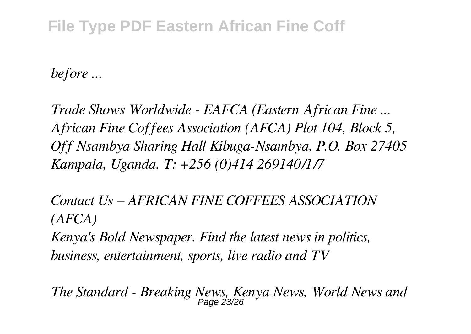*before ...*

*Trade Shows Worldwide - EAFCA (Eastern African Fine ... African Fine Coffees Association (AFCA) Plot 104, Block 5, Off Nsambya Sharing Hall Kibuga-Nsambya, P.O. Box 27405 Kampala, Uganda. T: +256 (0)414 269140/1/7*

*Contact Us – AFRICAN FINE COFFEES ASSOCIATION (AFCA) Kenya's Bold Newspaper. Find the latest news in politics, business, entertainment, sports, live radio and TV*

*The Standard - Breaking News, Kenya News, World News and* Page 23/26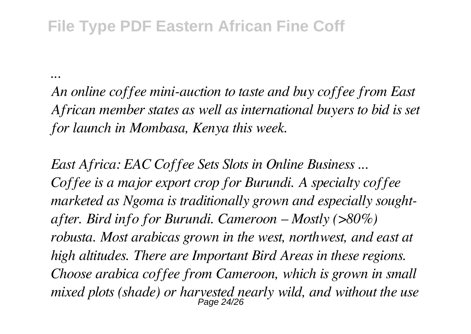*...*

*An online coffee mini-auction to taste and buy coffee from East African member states as well as international buyers to bid is set for launch in Mombasa, Kenya this week.*

*East Africa: EAC Coffee Sets Slots in Online Business ... Coffee is a major export crop for Burundi. A specialty coffee marketed as Ngoma is traditionally grown and especially soughtafter. Bird info for Burundi. Cameroon – Mostly (>80%) robusta. Most arabicas grown in the west, northwest, and east at high altitudes. There are Important Bird Areas in these regions. Choose arabica coffee from Cameroon, which is grown in small mixed plots (shade) or harvested nearly wild, and without the use* Page 24/26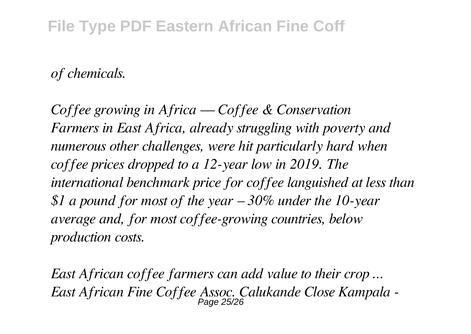#### *of chemicals.*

*Coffee growing in Africa — Coffee & Conservation Farmers in East Africa, already struggling with poverty and numerous other challenges, were hit particularly hard when coffee prices dropped to a 12-year low in 2019. The international benchmark price for coffee languished at less than \$1 a pound for most of the year – 30% under the 10-year average and, for most coffee-growing countries, below production costs.*

*East African coffee farmers can add value to their crop ... East African Fine Coffee Assoc. Calukande Close Kampala -* Page 25/26